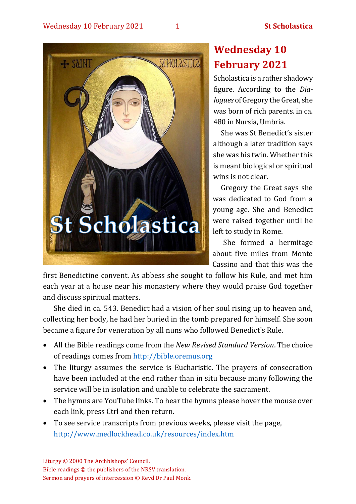

# **Wednesday 10 February 2021**

Scholastica is a rather shadowy figure. According to the *Dialogues* of Gregory the Great, she was born of rich parents. in ca. 480 in Nursia, Umbria.

She was St Benedict's sister although a later tradition says she was his twin. Whether this is meant biological or spiritual wins is not clear.

Gregory the Great says she was dedicated to God from a young age. She and Benedict were raised together until he left to study in Rome.

She formed a hermitage about five miles from Monte Cassino and that this was the

first Benedictine convent. As abbess she sought to follow his Rule, and met him each year at a house near his monastery where they would praise God together and discuss spiritual matters.

She died in ca. 543. Benedict had a vision of her soul rising up to heaven and, collecting her body, he had her buried in the tomb prepared for himself. She soon became a figure for veneration by all nuns who followed Benedict's Rule.

- All the Bible readings come from the *New Revised Standard Version*. The choice of readings comes from [http://bible.oremus.org](http://bible.oremus.org/)
- The liturgy assumes the service is Eucharistic. The prayers of consecration have been included at the end rather than in situ because many following the service will be in isolation and unable to celebrate the sacrament.
- The hymns are YouTube links. To hear the hymns please hover the mouse over each link, press Ctrl and then return.
- To see service transcripts from previous weeks, please visit the page, <http://www.medlockhead.co.uk/resources/index.htm>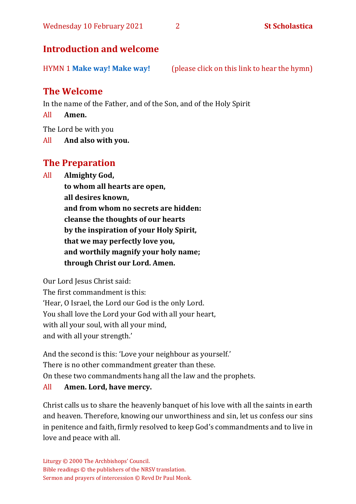# **Introduction and welcome**

HYMN 1 **[Make way! Make way!](https://www.youtube.com/watch?v=78iCdVc5LVM)** (please click on this link to hear the hymn)

# **The Welcome**

In the name of the Father, and of the Son, and of the Holy Spirit

All **Amen.**

The Lord be with you

All **And also with you.**

# **The Preparation**

All **Almighty God,**

**to whom all hearts are open, all desires known, and from whom no secrets are hidden: cleanse the thoughts of our hearts by the inspiration of your Holy Spirit, that we may perfectly love you, and worthily magnify your holy name; through Christ our Lord. Amen.**

Our Lord Jesus Christ said:

The first commandment is this: 'Hear, O Israel, the Lord our God is the only Lord. You shall love the Lord your God with all your heart, with all your soul, with all your mind, and with all your strength.'

And the second is this: 'Love your neighbour as yourself.' There is no other commandment greater than these. On these two commandments hang all the law and the prophets.

#### All **Amen. Lord, have mercy.**

Christ calls us to share the heavenly banquet of his love with all the saints in earth and heaven. Therefore, knowing our unworthiness and sin, let us confess our sins in penitence and faith, firmly resolved to keep God's commandments and to live in love and peace with all.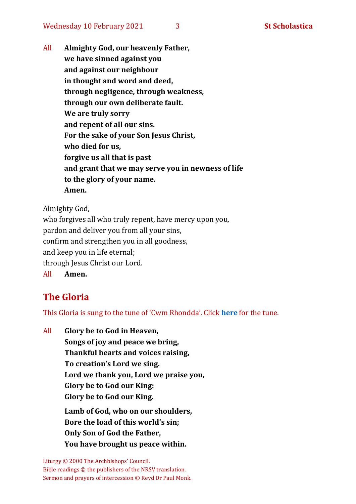Wednesday 10 February 2021 3 3 **St Scholastica** 

All **Almighty God, our heavenly Father, we have sinned against you and against our neighbour in thought and word and deed, through negligence, through weakness, through our own deliberate fault. We are truly sorry and repent of all our sins. For the sake of your Son Jesus Christ, who died for us, forgive us all that is past and grant that we may serve you in newness of life to the glory of your name. Amen.**

Almighty God,

who forgives all who truly repent, have mercy upon you, pardon and deliver you from all your sins, confirm and strengthen you in all goodness, and keep you in life eternal; through Jesus Christ our Lord. All **Amen.**

# **The Gloria**

This Gloria is sung to the tune of 'Cwm Rhondda'. Click **[here](about:blank)** for the tune.

All **Glory be to God in Heaven, Songs of joy and peace we bring, Thankful hearts and voices raising, To creation's Lord we sing. Lord we thank you, Lord we praise you, Glory be to God our King: Glory be to God our King. Lamb of God, who on our shoulders, Bore the load of this world's sin; Only Son of God the Father, You have brought us peace within.**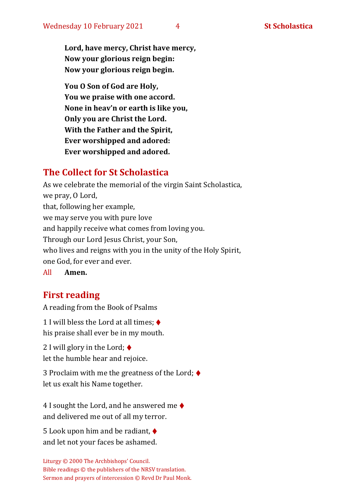**Lord, have mercy, Christ have mercy, Now your glorious reign begin: Now your glorious reign begin.**

**You O Son of God are Holy, You we praise with one accord. None in heav'n or earth is like you, Only you are Christ the Lord. With the Father and the Spirit, Ever worshipped and adored: Ever worshipped and adored.**

# **The Collect for St Scholastica**

As we celebrate the memorial of the virgin Saint Scholastica, we pray, O Lord, that, following her example, we may serve you with pure love and happily receive what comes from loving you. Through our Lord Jesus Christ, your Son, who lives and reigns with you in the unity of the Holy Spirit, one God, for ever and ever.

All **Amen.**

# **First reading**

A reading from the Book of Psalms

1 I will bless the Lord at all times:  $\triangleleft$ his praise shall ever be in my mouth.

2 I will glory in the Lord;  $\blacklozenge$ let the humble hear and rejoice.

3 Proclaim with me the greatness of the Lord;  $\blacklozenge$ let us exalt his Name together.

4 I sought the Lord, and he answered me  $\blacklozenge$ and delivered me out of all my terror.

5 Look upon him and be radiant, ♦ and let not your faces be ashamed.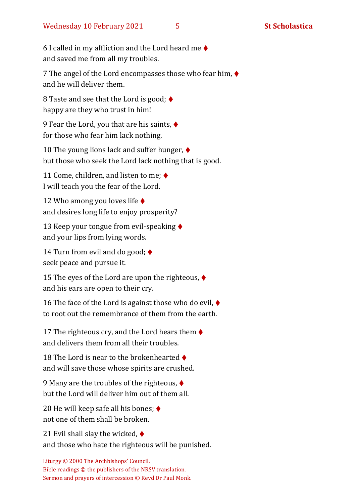6 I called in my affliction and the Lord heard me  $\blacklozenge$ and saved me from all my troubles.

7 The angel of the Lord encompasses those who fear him, ♦ and he will deliver them.

8 Taste and see that the Lord is good;  $\blacklozenge$ happy are they who trust in him!

9 Fear the Lord, you that are his saints, ♦ for those who fear him lack nothing.

10 The young lions lack and suffer hunger, ♦ but those who seek the Lord lack nothing that is good.

11 Come, children, and listen to me;  $\blacklozenge$ I will teach you the fear of the Lord.

12 Who among you loves life ♦ and desires long life to enjoy prosperity?

13 Keep your tongue from evil-speaking ♦ and your lips from lying words.

14 Turn from evil and do good;  $\triangleleft$ seek peace and pursue it.

15 The eyes of the Lord are upon the righteous,  $\blacklozenge$ and his ears are open to their cry.

16 The face of the Lord is against those who do evil,  $\blacklozenge$ to root out the remembrance of them from the earth.

17 The righteous cry, and the Lord hears them  $\blacklozenge$ and delivers them from all their troubles.

18 The Lord is near to the brokenhearted ♦ and will save those whose spirits are crushed.

9 Many are the troubles of the righteous, ♦ but the Lord will deliver him out of them all.

20 He will keep safe all his bones;  $\triangleleft$ not one of them shall be broken.

21 Evil shall slay the wicked,  $\blacklozenge$ and those who hate the righteous will be punished.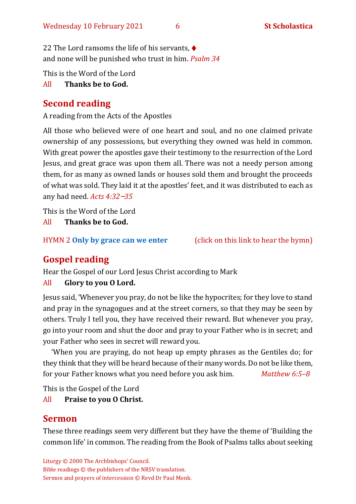22 The Lord ransoms the life of his servants, ♦ and none will be punished who trust in him. *Psalm 34*

This is the Word of the Lord

All **Thanks be to God.**

# **Second reading**

A reading from the Acts of the Apostles

All those who believed were of one heart and soul, and no one claimed private ownership of any possessions, but everything they owned was held in common. With great power the apostles gave their testimony to the resurrection of the Lord Jesus, and great grace was upon them all. There was not a needy person among them, for as many as owned lands or houses sold them and brought the proceeds of what was sold. They laid it at the apostles' feet, and it was distributed to each as any had need. *Acts 4:32*–*35*

This is the Word of the Lord

All **Thanks be to God.**

HYMN 2 **[Only by grace can we enter](https://www.youtube.com/watch?v=hv72Q23lIp0)** (click on this link to hear the hymn)

# **Gospel reading**

Hear the Gospel of our Lord Jesus Christ according to Mark

### All **Glory to you O Lord.**

Jesus said, 'Whenever you pray, do not be like the hypocrites; for they love to stand and pray in the synagogues and at the street corners, so that they may be seen by others. Truly I tell you, they have received their reward. But whenever you pray, go into your room and shut the door and pray to your Father who is in secret; and your Father who sees in secret will reward you.

'When you are praying, do not heap up empty phrases as the Gentiles do; for they think that they will be heard because of their many words. Do not be like them, for your Father knows what you need before you ask him. *Matthew 6:5–8*

This is the Gospel of the Lord

### All **Praise to you O Christ.**

# **Sermon**

These three readings seem very different but they have the theme of 'Building the common life' in common. The reading from the Book of Psalms talks about seeking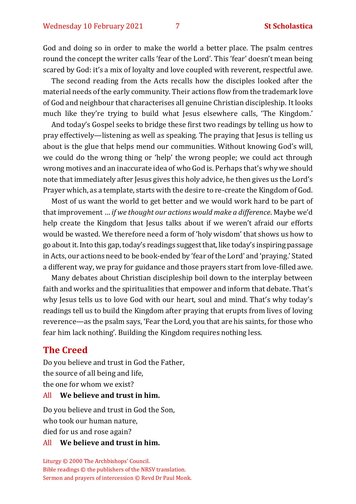God and doing so in order to make the world a better place. The psalm centres round the concept the writer calls 'fear of the Lord'. This 'fear' doesn't mean being scared by God: it's a mix of loyalty and love coupled with reverent, respectful awe.

The second reading from the Acts recalls how the disciples looked after the material needs of the early community. Their actions flow from the trademark love of God and neighbour that characterises all genuine Christian discipleship. It looks much like they're trying to build what Jesus elsewhere calls, 'The Kingdom.'

And today's Gospel seeks to bridge these first two readings by telling us how to pray effectively—listening as well as speaking. The praying that Jesus is telling us about is the glue that helps mend our communities. Without knowing God's will, we could do the wrong thing or 'help' the wrong people; we could act through wrong motives and an inaccurate idea of who God is. Perhaps that's why we should note that immediately after Jesus gives this holy advice, he then gives us the Lord's Prayer which, as a template, starts with the desire to re-create the Kingdom of God.

Most of us want the world to get better and we would work hard to be part of that improvement … *if we thought our actions would make a difference*. Maybe we'd help create the Kingdom that Jesus talks about if we weren't afraid our efforts would be wasted. We therefore need a form of 'holy wisdom' that shows us how to go about it. Into this gap, today's readings suggest that, like today's inspiring passage in Acts, our actions need to be book-ended by 'fear of the Lord' and 'praying.' Stated a different way, we pray for guidance and those prayers start from love-filled awe.

Many debates about Christian discipleship boil down to the interplay between faith and works and the spiritualities that empower and inform that debate. That's why Jesus tells us to love God with our heart, soul and mind. That's why today's readings tell us to build the Kingdom after praying that erupts from lives of loving reverence—as the psalm says, 'Fear the Lord, you that are his saints, for those who fear him lack nothing'. Building the Kingdom requires nothing less.

#### **The Creed**

Do you believe and trust in God the Father, the source of all being and life, the one for whom we exist?

#### All **We believe and trust in him.**

Do you believe and trust in God the Son, who took our human nature, died for us and rose again?

#### All **We believe and trust in him.**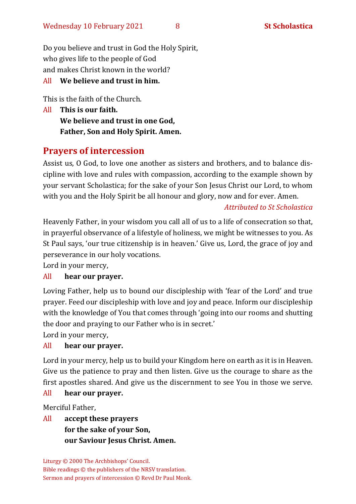Do you believe and trust in God the Holy Spirit, who gives life to the people of God and makes Christ known in the world?

#### All **We believe and trust in him.**

This is the faith of the Church.

All **This is our faith. We believe and trust in one God, Father, Son and Holy Spirit. Amen.**

# **Prayers of intercession**

Assist us, O God, to love one another as sisters and brothers, and to balance discipline with love and rules with compassion, according to the example shown by your servant Scholastica; for the sake of your Son Jesus Christ our Lord, to whom with you and the Holy Spirit be all honour and glory, now and for ever. Amen.

#### *Attributed to St Scholastica*

Heavenly Father, in your wisdom you call all of us to a life of consecration so that, in prayerful observance of a lifestyle of holiness, we might be witnesses to you. As St Paul says, 'our true citizenship is in heaven.' Give us, Lord, the grace of joy and perseverance in our holy vocations.

Lord in your mercy,

#### All **hear our prayer.**

Loving Father, help us to bound our discipleship with 'fear of the Lord' and true prayer. Feed our discipleship with love and joy and peace. Inform our discipleship with the knowledge of You that comes through 'going into our rooms and shutting the door and praying to our Father who is in secret.'

Lord in your mercy,

#### All **hear our prayer.**

Lord in your mercy, help us to build your Kingdom here on earth as it is in Heaven. Give us the patience to pray and then listen. Give us the courage to share as the first apostles shared. And give us the discernment to see You in those we serve.

#### All **hear our prayer.**

Merciful Father,

All **accept these prayers for the sake of your Son, our Saviour Jesus Christ. Amen.**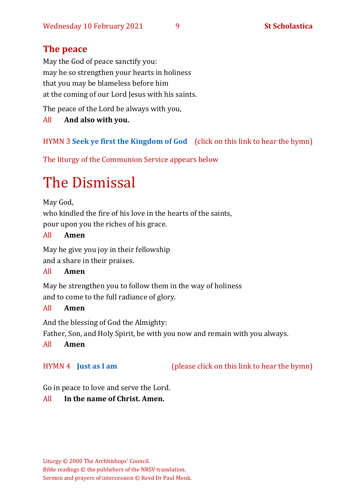# **The peace**

May the God of peace sanctify you: may he so strengthen your hearts in holiness that you may be blameless before him at the coming of our Lord Jesus with his saints.

The peace of the Lord be always with you,

#### All **And also with you.**

### HYMN 3 **[Seek ye first the Kingdom of God](https://www.youtube.com/watch?v=94I07YCeqBs)** (click on this link to hear the hymn)

The liturgy of the Communion Service appears below

# The Dismissal

May God,

who kindled the fire of his love in the hearts of the saints, pour upon you the riches of his grace.

#### All **Amen**

May he give you joy in their fellowship and a share in their praises.

#### All **Amen**

May he strengthen you to follow them in the way of holiness and to come to the full radiance of glory.

#### All **Amen**

And the blessing of God the Almighty: Father, Son, and Holy Spirit, be with you now and remain with you always.

#### All **Amen**

HYMN 4 **[Just as I am](https://www.youtube.com/watch?v=6tdmQh-MIIA)** (please click on this link to hear the hymn)

Go in peace to love and serve the Lord.

#### All **In the name of Christ. Amen.**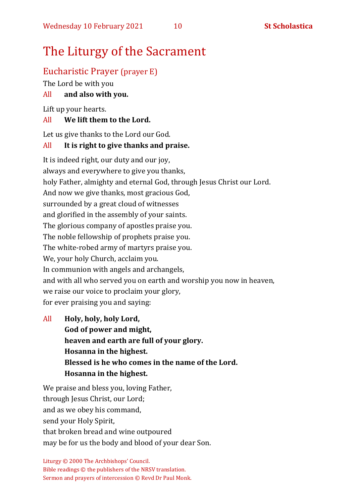# The Liturgy of the Sacrament

# Eucharistic Prayer (prayer E)

The Lord be with you

### All **and also with you.**

Lift up your hearts.

#### All **We lift them to the Lord.**

Let us give thanks to the Lord our God.

#### All **It is right to give thanks and praise.**

It is indeed right, our duty and our joy, always and everywhere to give you thanks, holy Father, almighty and eternal God, through Jesus Christ our Lord. And now we give thanks, most gracious God, surrounded by a great cloud of witnesses and glorified in the assembly of your saints. The glorious company of apostles praise you. The noble fellowship of prophets praise you. The white-robed army of martyrs praise you. We, your holy Church, acclaim you. In communion with angels and archangels, and with all who served you on earth and worship you now in heaven, we raise our voice to proclaim your glory, for ever praising you and saying:

All **Holy, holy, holy Lord, God of power and might, heaven and earth are full of your glory. Hosanna in the highest. Blessed is he who comes in the name of the Lord. Hosanna in the highest.**

We praise and bless you, loving Father, through Jesus Christ, our Lord; and as we obey his command, send your Holy Spirit, that broken bread and wine outpoured may be for us the body and blood of your dear Son.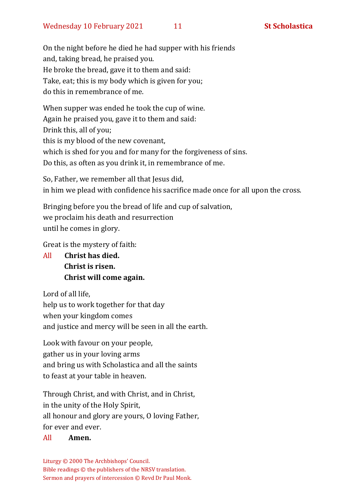On the night before he died he had supper with his friends and, taking bread, he praised you. He broke the bread, gave it to them and said: Take, eat; this is my body which is given for you; do this in remembrance of me.

When supper was ended he took the cup of wine. Again he praised you, gave it to them and said: Drink this, all of you; this is my blood of the new covenant, which is shed for you and for many for the forgiveness of sins. Do this, as often as you drink it, in remembrance of me.

So, Father, we remember all that Jesus did, in him we plead with confidence his sacrifice made once for all upon the cross.

Bringing before you the bread of life and cup of salvation, we proclaim his death and resurrection until he comes in glory.

Great is the mystery of faith:

All **Christ has died. Christ is risen. Christ will come again.**

Lord of all life, help us to work together for that day when your kingdom comes and justice and mercy will be seen in all the earth.

Look with favour on your people, gather us in your loving arms and bring us with Scholastica and all the saints to feast at your table in heaven.

Through Christ, and with Christ, and in Christ, in the unity of the Holy Spirit, all honour and glory are yours, O loving Father, for ever and ever.

#### All **Amen.**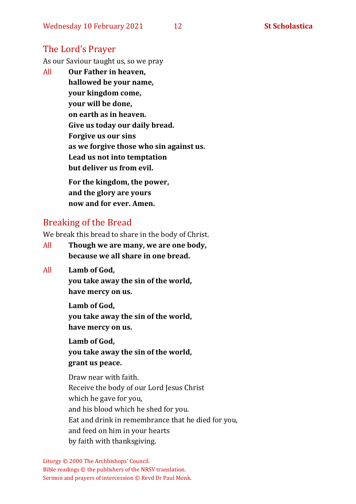# The Lord's Prayer

As our Saviour taught us, so we pray

All **Our Father in heaven, hallowed be your name, your kingdom come, your will be done, on earth as in heaven. Give us today our daily bread. Forgive us our sins as we forgive those who sin against us. Lead us not into temptation but deliver us from evil. For the kingdom, the power,** 

**and the glory are yours now and for ever. Amen.**

### Breaking of the Bread

We break this bread to share in the body of Christ.

- All **Though we are many, we are one body, because we all share in one bread.**
- All **Lamb of God,**

**you take away the sin of the world, have mercy on us.**

**Lamb of God, you take away the sin of the world, have mercy on us.**

**Lamb of God, you take away the sin of the world, grant us peace.**

Draw near with faith. Receive the body of our Lord Jesus Christ which he gave for you, and his blood which he shed for you. Eat and drink in remembrance that he died for you, and feed on him in your hearts by faith with thanksgiving.